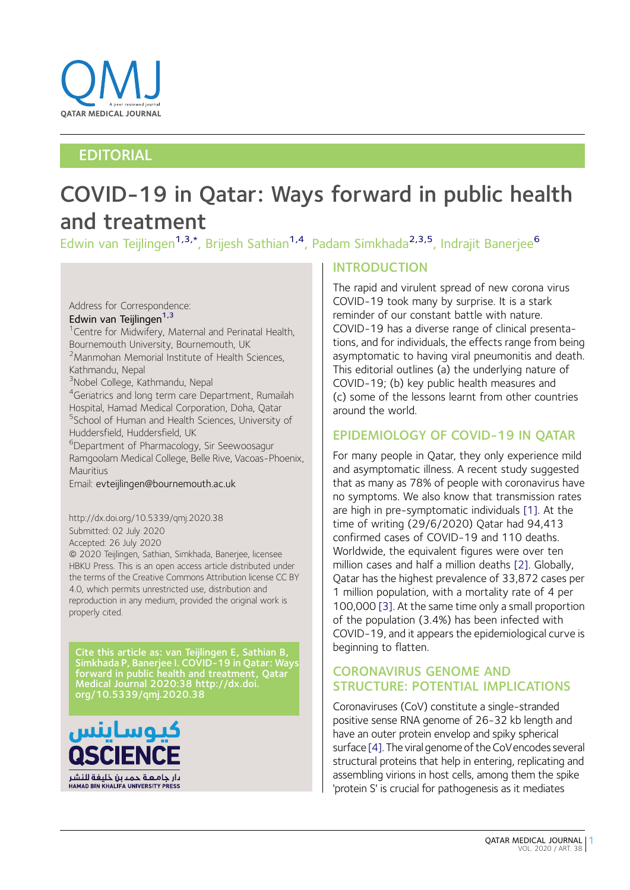

# EDITORIAL

# COVID-19 in Qatar: Ways forward in public health and treatment

Edwin van Teijlingen<sup>1,3,\*</sup>, Brijesh Sathian<sup>1,4</sup>, Padam Simkhada<sup>2,3,5</sup>, Indrajit Banerjee<sup>6</sup>

# Address for Correspondence: Edwin van Teijlingen<sup>1,3</sup>

<sup>1</sup> Centre for Midwifery, Maternal and Perinatal Health, Bournemouth University, Bournemouth, UK <sup>2</sup> Manmohan Memorial Institute of Health Sciences, Kathmandu, Nepal 3 Nobel College, Kathmandu, Nepal 4 Geriatrics and long term care Department, Rumailah Hospital, Hamad Medical Corporation, Doha, Qatar 5 School of Human and Health Sciences, University of Huddersfield, Huddersfield, UK 6 Department of Pharmacology, Sir Seewoosagur Ramgoolam Medical College, Belle Rive, Vacoas-Phoenix, **Mauritius** 

Email: evteijlingen@bournemouth.ac.uk

#### http://dx.doi.org/10.5339/qmj.2020.38 Submitted: 02 July 2020 Accepted: 26 July 2020 ª 2020 Teijlingen, Sathian, Simkhada, Banerjee, licensee HBKU Press. This is an open access article distributed under the terms of the Creative Commons Attribution license CC BY 4.0, which permits unrestricted use, distribution and reproduction in any medium, provided the original work is properly cited.

Cite this article as: van Teijlingen E, Sathian B, Simkhada P, Banerjee I. COVID-19 in Qatar: Ways forward in public health and treatment, Qatar Medical Journal 2020:38 http://dx.doi. org/10.5339/qmj.2020.38



# INTRODUCTION

The rapid and virulent spread of new corona virus COVID-19 took many by surprise. It is a stark reminder of our constant battle with nature. COVID-19 has a diverse range of clinical presentations, and for individuals, the effects range from being asymptomatic to having viral pneumonitis and death. This editorial outlines (a) the underlying nature of COVID-19; (b) key public health measures and (c) some of the lessons learnt from other countries around the world.

# EPIDEMIOLOGY OF COVID-19 IN QATAR

For many people in Qatar, they only experience mild and asymptomatic illness. A recent study suggested that as many as 78% of people with coronavirus have no symptoms. We also know that transmission rates are high in pre-symptomatic individuals [\[1\]](#page-5-0). At the time of writing (29/6/2020) Qatar had 94,413 confirmed cases of COVID-19 and 110 deaths. Worldwide, the equivalent figures were over ten million cases and half a million deaths [\[2\]](#page-5-0). Globally, Qatar has the highest prevalence of 33,872 cases per 1 million population, with a mortality rate of 4 per 100,000 [\[3\]](#page-5-0). At the same time only a small proportion of the population (3.4%) has been infected with COVID-19, and it appears the epidemiological curve is beginning to flatten.

# CORONAVIRUS GENOME AND STRUCTURE: POTENTIAL IMPLICATIONS

Coronaviruses (CoV) constitute a single-stranded positive sense RNA genome of 26-32 kb length and have an outer protein envelop and spiky spherical surface [\[4\].](#page-5-0) The viral genome of the CoVencodes several structural proteins that help in entering, replicating and assembling virions in host cells, among them the spike 'protein S' is crucial for pathogenesis as it mediates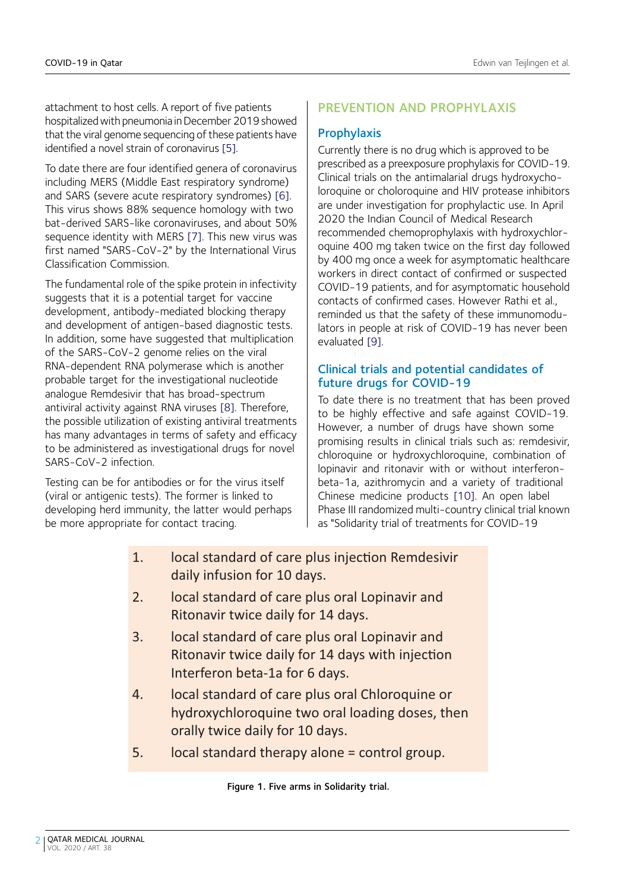<span id="page-1-0"></span>attachment to host cells. A report of five patients hospitalized with pneumonia in December 2019 showed that the viral genome sequencing of these patients have identified a novel strain of coronavirus [\[5\].](#page-5-0)

To date there are four identified genera of coronavirus including MERS (Middle East respiratory syndrome) and SARS (severe acute respiratory syndromes) [\[6\]](#page-5-0). This virus shows 88% sequence homology with two bat-derived SARS-like coronaviruses, and about 50% sequence identity with MERS [\[7\].](#page-5-0) This new virus was first named "SARS-CoV-2" by the International Virus Classification Commission.

The fundamental role of the spike protein in infectivity suggests that it is a potential target for vaccine development, antibody-mediated blocking therapy and development of antigen-based diagnostic tests. In addition, some have suggested that multiplication of the SARS-CoV-2 genome relies on the viral RNA-dependent RNA polymerase which is another probable target for the investigational nucleotide analogue Remdesivir that has broad-spectrum antiviral activity against RNA viruses [\[8\].](#page-5-0) Therefore, the possible utilization of existing antiviral treatments has many advantages in terms of safety and efficacy to be administered as investigational drugs for novel SARS-CoV-2 infection.

Testing can be for antibodies or for the virus itself (viral or antigenic tests). The former is linked to developing herd immunity, the latter would perhaps be more appropriate for contact tracing.

#### PREVENTION AND PROPHYLAXIS

#### **Prophylaxis**

Currently there is no drug which is approved to be prescribed as a preexposure prophylaxis for COVID-19. Clinical trials on the antimalarial drugs hydroxycholoroquine or choloroquine and HIV protease inhibitors are under investigation for prophylactic use. In April 2020 the Indian Council of Medical Research recommended chemoprophylaxis with hydroxychloroquine 400 mg taken twice on the first day followed by 400 mg once a week for asymptomatic healthcare workers in direct contact of confirmed or suspected COVID-19 patients, and for asymptomatic household contacts of confirmed cases. However Rathi et al., reminded us that the safety of these immunomodulators in people at risk of COVID-19 has never been evaluated [\[9\]](#page-5-0).

#### Clinical trials and potential candidates of future drugs for COVID-19

To date there is no treatment that has been proved to be highly effective and safe against COVID-19. However, a number of drugs have shown some promising results in clinical trials such as: remdesivir, chloroquine or hydroxychloroquine, combination of lopinavir and ritonavir with or without interferonbeta-1a, azithromycin and a variety of traditional Chinese medicine products [\[10\].](#page-5-0) An open label Phase III randomized multi-country clinical trial known as "Solidarity trial of treatments for COVID-19

- 1. local standard of care plus injection Remdesivir daily infusion for 10 days.
- 2. local standard of care plus oral Lopinavir and Ritonavir twice daily for 14 days.
- 3. local standard of care plus oral Lopinavir and Ritonavir twice daily for 14 days with injection Interferon beta-1a for 6 days.
- 4. local standard of care plus oral Chloroquine or hydroxychloroquine two oral loading doses, then orally twice daily for 10 days.
- 5. local standard therapy alone = control group.

Figure 1. Five arms in Solidarity trial.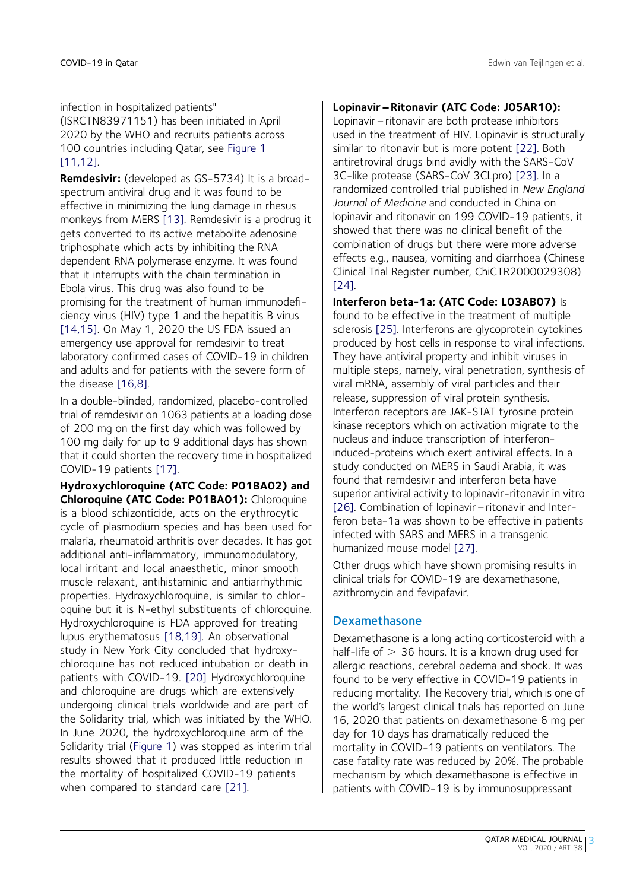infection in hospitalized patients"

(ISRCTN83971151) has been initiated in April 2020 by the WHO and recruits patients across 100 countries including Qatar, see [Figure 1](#page-1-0) [11.12].

Remdesivir: (developed as GS-5734) It is a broadspectrum antiviral drug and it was found to be effective in minimizing the lung damage in rhesus monkeys from MERS [\[13\].](#page-6-0) Remdesivir is a prodrug it gets converted to its active metabolite adenosine triphosphate which acts by inhibiting the RNA dependent RNA polymerase enzyme. It was found that it interrupts with the chain termination in Ebola virus. This drug was also found to be promising for the treatment of human immunodeficiency virus (HIV) type 1 and the hepatitis B virus [\[14,15\].](#page-6-0) On May 1, 2020 the US FDA issued an emergency use approval for remdesivir to treat laboratory confirmed cases of COVID-19 in children and adults and for patients with the severe form of the disease [\[16,8\]](#page-6-0).

In a double-blinded, randomized, placebo-controlled trial of remdesivir on 1063 patients at a loading dose of 200 mg on the first day which was followed by 100 mg daily for up to 9 additional days has shown that it could shorten the recovery time in hospitalized COVID-19 patients [\[17\]](#page-6-0).

Hydroxychloroquine (ATC Code: P01BA02) and Chloroquine (ATC Code: P01BA01): Chloroquine is a blood schizonticide, acts on the erythrocytic cycle of plasmodium species and has been used for malaria, rheumatoid arthritis over decades. It has got additional anti-inflammatory, immunomodulatory, local irritant and local anaesthetic, minor smooth muscle relaxant, antihistaminic and antiarrhythmic properties. Hydroxychloroquine, is similar to chloroquine but it is N-ethyl substituents of chloroquine. Hydroxychloroquine is FDA approved for treating lupus erythematosus [\[18,19\]](#page-6-0). An observational study in New York City concluded that hydroxychloroquine has not reduced intubation or death in patients with COVID-19. [\[20\]](#page-6-0) Hydroxychloroquine and chloroquine are drugs which are extensively undergoing clinical trials worldwide and are part of the Solidarity trial, which was initiated by the WHO. In June 2020, the hydroxychloroquine arm of the Solidarity trial ([Figure 1\)](#page-1-0) was stopped as interim trial results showed that it produced little reduction in the mortality of hospitalized COVID-19 patients when compared to standard care [\[21\]](#page-6-0).

#### Lopinavir–Ritonavir (ATC Code: J05AR10):

Lopinavir–ritonavir are both protease inhibitors used in the treatment of HIV. Lopinavir is structurally similar to ritonavir but is more potent [\[22\]](#page-6-0). Both antiretroviral drugs bind avidly with the SARS-CoV 3C-like protease (SARS-CoV 3CLpro) [\[23\]](#page-6-0). In a randomized controlled trial published in New England Journal of Medicine and conducted in China on lopinavir and ritonavir on 199 COVID-19 patients, it showed that there was no clinical benefit of the combination of drugs but there were more adverse effects e.g., nausea, vomiting and diarrhoea (Chinese Clinical Trial Register number, ChiCTR2000029308) [\[24\]](#page-6-0).

#### Interferon beta-1a: (ATC Code: L03AB07) Is

found to be effective in the treatment of multiple sclerosis [\[25\].](#page-6-0) Interferons are glycoprotein cytokines produced by host cells in response to viral infections. They have antiviral property and inhibit viruses in multiple steps, namely, viral penetration, synthesis of viral mRNA, assembly of viral particles and their release, suppression of viral protein synthesis. Interferon receptors are JAK-STAT tyrosine protein kinase receptors which on activation migrate to the nucleus and induce transcription of interferoninduced-proteins which exert antiviral effects. In a study conducted on MERS in Saudi Arabia, it was found that remdesivir and interferon beta have superior antiviral activity to lopinavir-ritonavir in vitro [\[26\]](#page-6-0). Combination of lopinavir–ritonavir and Interferon beta-1a was shown to be effective in patients infected with SARS and MERS in a transgenic humanized mouse model [\[27\]](#page-6-0).

Other drugs which have shown promising results in clinical trials for COVID-19 are dexamethasone, azithromycin and fevipafavir.

#### Dexamethasone

Dexamethasone is a long acting corticosteroid with a half-life of  $> 36$  hours. It is a known drug used for allergic reactions, cerebral oedema and shock. It was found to be very effective in COVID-19 patients in reducing mortality. The Recovery trial, which is one of the world's largest clinical trials has reported on June 16, 2020 that patients on dexamethasone 6 mg per day for 10 days has dramatically reduced the mortality in COVID-19 patients on ventilators. The case fatality rate was reduced by 20%. The probable mechanism by which dexamethasone is effective in patients with COVID-19 is by immunosuppressant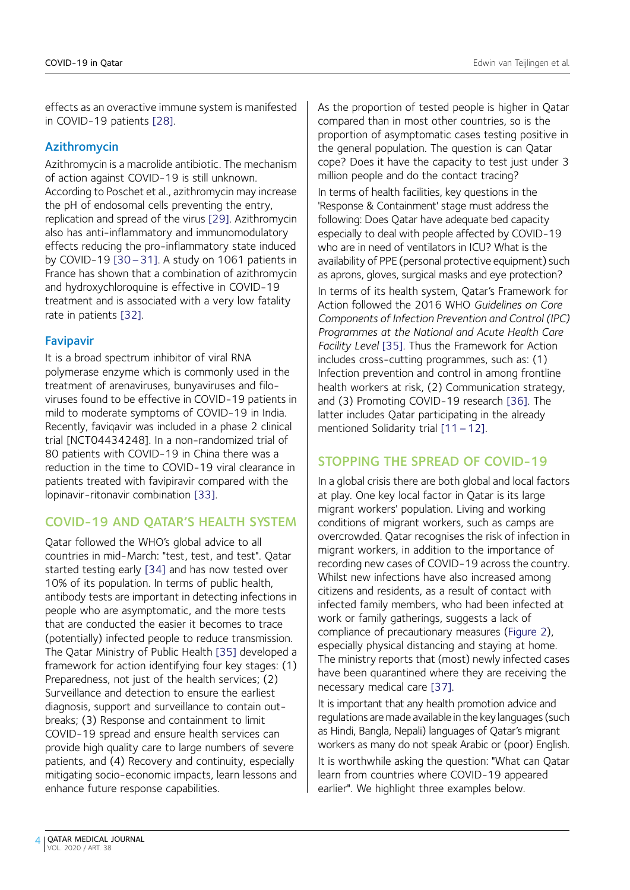effects as an overactive immune system is manifested in COVID-19 patients [\[28\].](#page-6-0)

### Azithromycin

Azithromycin is a macrolide antibiotic. The mechanism of action against COVID-19 is still unknown. According to Poschet et al., azithromycin may increase the pH of endosomal cells preventing the entry, replication and spread of the virus [\[29\].](#page-6-0) Azithromycin also has anti-inflammatory and immunomodulatory effects reducing the pro-inflammatory state induced by COVID-19 [\[30](#page-6-0)–31]. A study on 1061 patients in France has shown that a combination of azithromycin and hydroxychloroquine is effective in COVID-19 treatment and is associated with a very low fatality rate in patients [\[32\].](#page-6-0)

#### Favipavir

It is a broad spectrum inhibitor of viral RNA polymerase enzyme which is commonly used in the treatment of arenaviruses, bunyaviruses and filoviruses found to be effective in COVID-19 patients in mild to moderate symptoms of COVID-19 in India. Recently, faviqavir was included in a phase 2 clinical trial [NCT04434248]. In a non-randomized trial of 80 patients with COVID-19 in China there was a reduction in the time to COVID-19 viral clearance in patients treated with favipiravir compared with the lopinavir-ritonavir combination [\[33\]](#page-7-0).

## COVID-19 AND QATAR'S HEALTH SYSTEM

Qatar followed the WHO's global advice to all countries in mid-March: "test, test, and test". Qatar started testing early [\[34\]](#page-7-0) and has now tested over 10% of its population. In terms of public health, antibody tests are important in detecting infections in people who are asymptomatic, and the more tests that are conducted the easier it becomes to trace (potentially) infected people to reduce transmission. The Qatar Ministry of Public Health [\[35\]](#page-7-0) developed a framework for action identifying four key stages: (1) Preparedness, not just of the health services; (2) Surveillance and detection to ensure the earliest diagnosis, support and surveillance to contain outbreaks; (3) Response and containment to limit COVID-19 spread and ensure health services can provide high quality care to large numbers of severe patients, and (4) Recovery and continuity, especially mitigating socio-economic impacts, learn lessons and enhance future response capabilities.

As the proportion of tested people is higher in Qatar compared than in most other countries, so is the proportion of asymptomatic cases testing positive in the general population. The question is can Qatar cope? Does it have the capacity to test just under 3 million people and do the contact tracing?

In terms of health facilities, key questions in the 'Response & Containment' stage must address the following: Does Qatar have adequate bed capacity especially to deal with people affected by COVID-19 who are in need of ventilators in ICU? What is the availability of PPE (personal protective equipment) such as aprons, gloves, surgical masks and eye protection?

In terms of its health system, Qatar's Framework for Action followed the 2016 WHO Guidelines on Core Components of Infection Prevention and Control (IPC) Programmes at the National and Acute Health Care Facility Level [\[35\].](#page-7-0) Thus the Framework for Action includes cross-cutting programmes, such as: (1) Infection prevention and control in among frontline health workers at risk, (2) Communication strategy, and (3) Promoting COVID-19 research [\[36\].](#page-7-0) The latter includes Qatar participating in the already mentioned Solidarity trial [\[11](#page-5-0) – 12].

## STOPPING THE SPREAD OF COVID-19

In a global crisis there are both global and local factors at play. One key local factor in Qatar is its large migrant workers' population. Living and working conditions of migrant workers, such as camps are overcrowded. Qatar recognises the risk of infection in migrant workers, in addition to the importance of recording new cases of COVID-19 across the country. Whilst new infections have also increased among citizens and residents, as a result of contact with infected family members, who had been infected at work or family gatherings, suggests a lack of compliance of precautionary measures [\(Figure 2\)](#page-4-0), especially physical distancing and staying at home. The ministry reports that (most) newly infected cases have been quarantined where they are receiving the necessary medical care [\[37\].](#page-7-0)

It is important that any health promotion advice and regulations are made available in the key languages (such as Hindi, Bangla, Nepali) languages of Qatar's migrant workers as many do not speak Arabic or (poor) English.

It is worthwhile asking the question: "What can Qatar learn from countries where COVID-19 appeared earlier". We highlight three examples below.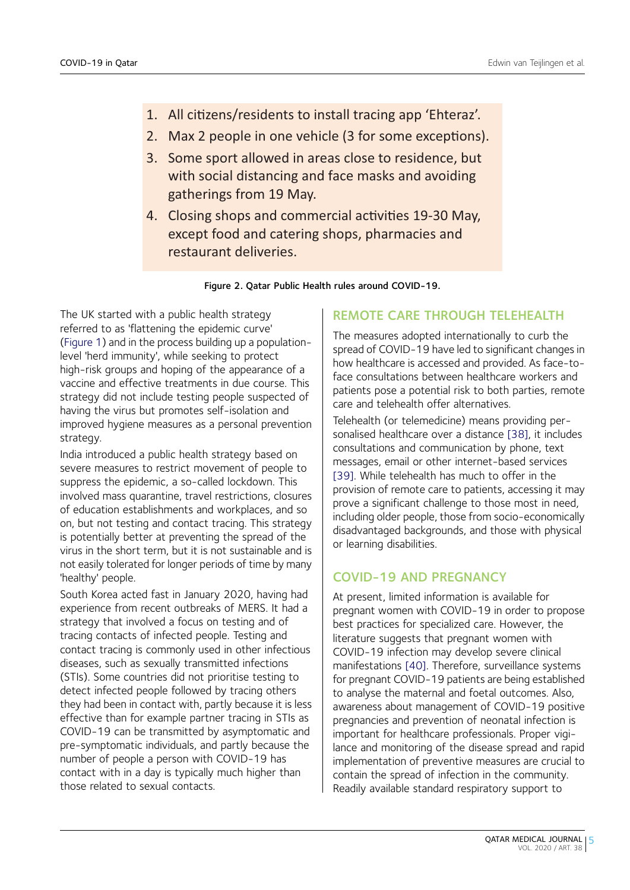- <span id="page-4-0"></span>1. All citizens/residents to install tracing app 'Ehteraz'.
- 2. Max 2 people in one vehicle (3 for some exceptions).
- 3. Some sport allowed in areas close to residence, but with social distancing and face masks and avoiding gatherings from 19 May.
- 4. Closing shops and commercial activities 19-30 May, except food and catering shops, pharmacies and restaurant deliveries.

Figure 2. Qatar Public Health rules around COVID-19.

The UK started with a public health strategy referred to as 'flattening the epidemic curve' ([Figure 1\)](#page-1-0) and in the process building up a populationlevel 'herd immunity', while seeking to protect high-risk groups and hoping of the appearance of a vaccine and effective treatments in due course. This strategy did not include testing people suspected of having the virus but promotes self-isolation and improved hygiene measures as a personal prevention strategy.

India introduced a public health strategy based on severe measures to restrict movement of people to suppress the epidemic, a so-called lockdown. This involved mass quarantine, travel restrictions, closures of education establishments and workplaces, and so on, but not testing and contact tracing. This strategy is potentially better at preventing the spread of the virus in the short term, but it is not sustainable and is not easily tolerated for longer periods of time by many 'healthy' people.

South Korea acted fast in January 2020, having had experience from recent outbreaks of MERS. It had a strategy that involved a focus on testing and of tracing contacts of infected people. Testing and contact tracing is commonly used in other infectious diseases, such as sexually transmitted infections (STIs). Some countries did not prioritise testing to detect infected people followed by tracing others they had been in contact with, partly because it is less effective than for example partner tracing in STIs as COVID-19 can be transmitted by asymptomatic and pre-symptomatic individuals, and partly because the number of people a person with COVID-19 has contact with in a day is typically much higher than those related to sexual contacts.

# REMOTE CARE THROUGH TELEHEALTH

The measures adopted internationally to curb the spread of COVID-19 have led to significant changes in how healthcare is accessed and provided. As face-toface consultations between healthcare workers and patients pose a potential risk to both parties, remote care and telehealth offer alternatives.

Telehealth (or telemedicine) means providing personalised healthcare over a distance [\[38\]](#page-7-0), it includes consultations and communication by phone, text messages, email or other internet-based services [\[39\]](#page-7-0). While telehealth has much to offer in the provision of remote care to patients, accessing it may prove a significant challenge to those most in need, including older people, those from socio-economically disadvantaged backgrounds, and those with physical or learning disabilities.

# COVID-19 AND PREGNANCY

At present, limited information is available for pregnant women with COVID-19 in order to propose best practices for specialized care. However, the literature suggests that pregnant women with COVID-19 infection may develop severe clinical manifestations [\[40\].](#page-7-0) Therefore, surveillance systems for pregnant COVID-19 patients are being established to analyse the maternal and foetal outcomes. Also, awareness about management of COVID-19 positive pregnancies and prevention of neonatal infection is important for healthcare professionals. Proper vigilance and monitoring of the disease spread and rapid implementation of preventive measures are crucial to contain the spread of infection in the community. Readily available standard respiratory support to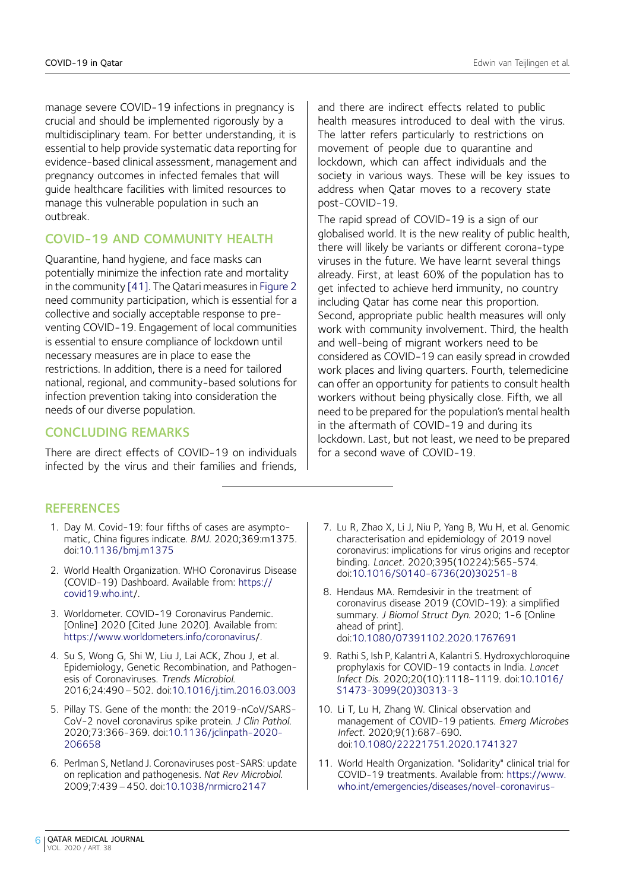<span id="page-5-0"></span>manage severe COVID-19 infections in pregnancy is crucial and should be implemented rigorously by a multidisciplinary team. For better understanding, it is essential to help provide systematic data reporting for evidence-based clinical assessment, management and pregnancy outcomes in infected females that will guide healthcare facilities with limited resources to manage this vulnerable population in such an outbreak.

# COVID-19 AND COMMUNITY HEALTH

Quarantine, hand hygiene, and face masks can potentially minimize the infection rate and mortality in the community [\[41\]](#page-7-0). The Qatari measures in [Figure 2](#page-4-0) need community participation, which is essential for a collective and socially acceptable response to preventing COVID-19. Engagement of local communities is essential to ensure compliance of lockdown until necessary measures are in place to ease the restrictions. In addition, there is a need for tailored national, regional, and community-based solutions for infection prevention taking into consideration the needs of our diverse population.

## CONCLUDING REMARKS

There are direct effects of COVID-19 on individuals infected by the virus and their families and friends,

and there are indirect effects related to public health measures introduced to deal with the virus. The latter refers particularly to restrictions on movement of people due to quarantine and lockdown, which can affect individuals and the society in various ways. These will be key issues to address when Qatar moves to a recovery state post-COVID-19.

The rapid spread of COVID-19 is a sign of our globalised world. It is the new reality of public health, there will likely be variants or different corona-type viruses in the future. We have learnt several things already. First, at least 60% of the population has to get infected to achieve herd immunity, no country including Qatar has come near this proportion. Second, appropriate public health measures will only work with community involvement. Third, the health and well-being of migrant workers need to be considered as COVID-19 can easily spread in crowded work places and living quarters. Fourth, telemedicine can offer an opportunity for patients to consult health workers without being physically close. Fifth, we all need to be prepared for the population's mental health in the aftermath of COVID-19 and during its lockdown. Last, but not least, we need to be prepared for a second wave of COVID-19.

## **REFERENCES**

- 1. Day M. Covid-19: four fifths of cases are asymptomatic, China figures indicate. BMJ. 2020;369:m1375. doi:[10.1136/bmj.m1375](http://dx.doi.org/10.1136/bmj.m1375)
- 2. World Health Organization. WHO Coronavirus Disease (COVID-19) Dashboard. Available from: [https://](https://covid19.who.int) [covid19.who.int/](https://covid19.who.int).
- 3. Worldometer. COVID-19 Coronavirus Pandemic. [Online] 2020 [Cited June 2020]. Available from: <https://www.worldometers.info/coronavirus>/.
- 4. Su S, Wong G, Shi W, Liu J, Lai ACK, Zhou J, et al. Epidemiology, Genetic Recombination, and Pathogenesis of Coronaviruses. Trends Microbiol. 2016;24:490–502. doi[:10.1016/j.tim.2016.03.003](http://dx.doi.org/10.1016/j.tim.2016.03.003)
- 5. Pillay TS. Gene of the month: the 2019-nCoV/SARS-CoV-2 novel coronavirus spike protein. J Clin Pathol. 2020;73:366-369. doi:[10.1136/jclinpath-2020-](http://dx.doi.org/10.1136/jclinpath-2020-206658) [206658](http://dx.doi.org/10.1136/jclinpath-2020-206658)
- 6. Perlman S, Netland J. Coronaviruses post-SARS: update on replication and pathogenesis. Nat Rev Microbiol. 2009;7:439–450. doi[:10.1038/nrmicro2147](http://dx.doi.org/10.1038/nrmicro2147)
- 7. Lu R, Zhao X, Li J, Niu P, Yang B, Wu H, et al. Genomic characterisation and epidemiology of 2019 novel coronavirus: implications for virus origins and receptor binding. Lancet. 2020;395(10224):565-574. doi:[10.1016/S0140-6736\(20\)30251-8](http://dx.doi.org/10.1016/S0140-6736(20)30251-8)
- 8. Hendaus MA. Remdesivir in the treatment of coronavirus disease 2019 (COVID-19): a simplified summary. J Biomol Struct Dyn. 2020; 1-6 [Online ahead of print]. doi:[10.1080/07391102.2020.1767691](http://dx.doi.org/10.1080/07391102.2020.1767691)
- 9. Rathi S, Ish P, Kalantri A, Kalantri S. Hydroxychloroquine prophylaxis for COVID-19 contacts in India. Lancet Infect Dis. 2020;20(10):1118-1119. doi[:10.1016/](http://dx.doi.org/10.1016/S1473-3099(20)30313-3) [S1473-3099\(20\)30313-3](http://dx.doi.org/10.1016/S1473-3099(20)30313-3)
- 10. Li T, Lu H, Zhang W. Clinical observation and management of COVID-19 patients. Emerg Microbes Infect. 2020;9(1):687-690. doi:[10.1080/22221751.2020.1741327](http://dx.doi.org/10.1080/22221751.2020.1741327)
- 11. World Health Organization. "Solidarity" clinical trial for COVID-19 treatments. Available from: [https://www.](https://www.who.int/emergencies/diseases/novel-coronavirus-2019/global-research-on-novel-coronavirus-2019-ncov/solidarity-clinical-trial-for-covid-19-treatments) [who.int/emergencies/diseases/novel-coronavirus-](https://www.who.int/emergencies/diseases/novel-coronavirus-2019/global-research-on-novel-coronavirus-2019-ncov/solidarity-clinical-trial-for-covid-19-treatments)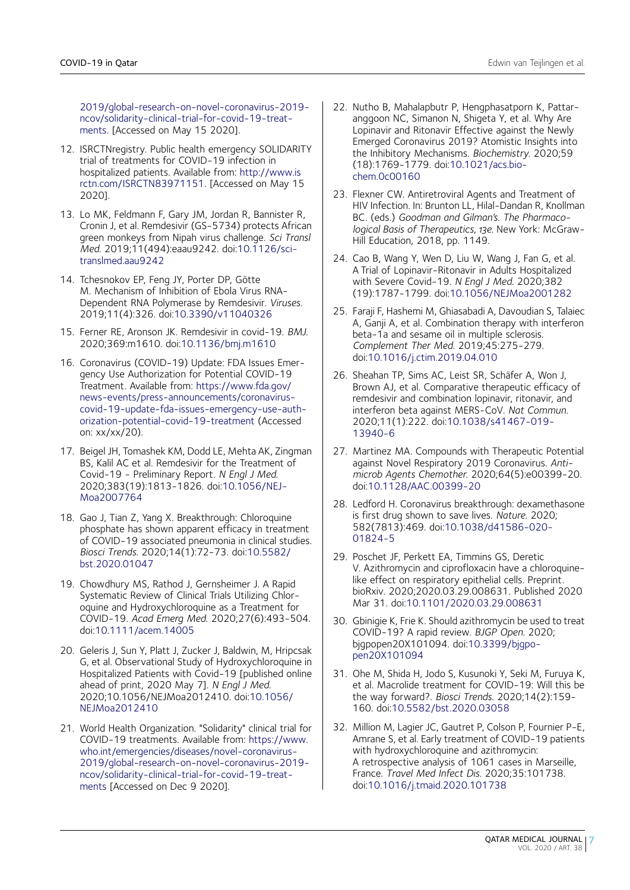<span id="page-6-0"></span>[2019/global-research-on-novel-coronavirus-2019](https://www.who.int/emergencies/diseases/novel-coronavirus-2019/global-research-on-novel-coronavirus-2019-ncov/solidarity-clinical-trial-for-covid-19-treatments) [ncov/solidarity-clinical-trial-for-covid-19-treat](https://www.who.int/emergencies/diseases/novel-coronavirus-2019/global-research-on-novel-coronavirus-2019-ncov/solidarity-clinical-trial-for-covid-19-treatments)[ments.](https://www.who.int/emergencies/diseases/novel-coronavirus-2019/global-research-on-novel-coronavirus-2019-ncov/solidarity-clinical-trial-for-covid-19-treatments) [Accessed on May 15 2020].

- 12. ISRCTNregistry. Public health emergency SOLIDARITY trial of treatments for COVID-19 infection in hospitalized patients. Available from: [http://www.is](http://www.isrctn.com/isrctn83971151) [rctn.com/ISRCTN83971151](http://www.isrctn.com/isrctn83971151). [Accessed on May 15 2020].
- 13. Lo MK, Feldmann F, Gary JM, Jordan R, Bannister R, Cronin J, et al. Remdesivir (GS-5734) protects African green monkeys from Nipah virus challenge. Sci Transl Med. 2019;11(494):eaau9242. doi[:10.1126/sci](http://dx.doi.org/10.1126/scitranslmed.aau9242)[translmed.aau9242](http://dx.doi.org/10.1126/scitranslmed.aau9242)
- 14. Tchesnokov EP, Feng JY, Porter DP, Götte M. Mechanism of Inhibition of Ebola Virus RNA-Dependent RNA Polymerase by Remdesivir. Viruses. 2019;11(4):326. doi[:10.3390/v11040326](http://dx.doi.org/10.3390/v11040326)
- 15. Ferner RE, Aronson JK. Remdesivir in covid-19. BMJ. 2020;369:m1610. doi:[10.1136/bmj.m1610](http://dx.doi.org/10.1136/bmj.m1610)
- 16. Coronavirus (COVID-19) Update: FDA Issues Emergency Use Authorization for Potential COVID-19 Treatment. Available from: [https://www.fda.gov/](https://www.fda.gov/news-events/press-announcements/coronavirus-covid-19-update-fda-issues-emergency-use-authorization-potential-covid-19-treatment) [news-events/press-announcements/coronavirus](https://www.fda.gov/news-events/press-announcements/coronavirus-covid-19-update-fda-issues-emergency-use-authorization-potential-covid-19-treatment)[covid-19-update-fda-issues-emergency-use-auth](https://www.fda.gov/news-events/press-announcements/coronavirus-covid-19-update-fda-issues-emergency-use-authorization-potential-covid-19-treatment)[orization-potential-covid-19-treatment](https://www.fda.gov/news-events/press-announcements/coronavirus-covid-19-update-fda-issues-emergency-use-authorization-potential-covid-19-treatment) (Accessed on: xx/xx/20).
- 17. Beigel JH, Tomashek KM, Dodd LE, Mehta AK, Zingman BS, Kalil AC et al. Remdesivir for the Treatment of Covid-19 - Preliminary Report. N Engl J Med. 2020;383(19):1813-1826. doi[:10.1056/NEJ-](http://dx.doi.org/10.1056/NEJMoa2007764)[Moa2007764](http://dx.doi.org/10.1056/NEJMoa2007764)
- 18. Gao J, Tian Z, Yang X. Breakthrough: Chloroquine phosphate has shown apparent efficacy in treatment of COVID-19 associated pneumonia in clinical studies. Biosci Trends. 2020;14(1):72-73. doi:[10.5582/](http://dx.doi.org/10.5582/bst.2020.01047) [bst.2020.01047](http://dx.doi.org/10.5582/bst.2020.01047)
- 19. Chowdhury MS, Rathod J, Gernsheimer J. A Rapid Systematic Review of Clinical Trials Utilizing Chloroquine and Hydroxychloroquine as a Treatment for COVID-19. Acad Emerg Med. 2020;27(6):493-504. doi:[10.1111/acem.14005](http://dx.doi.org/10.1111/acem.14005)
- 20. Geleris J, Sun Y, Platt J, Zucker J, Baldwin, M, Hripcsak G, et al. Observational Study of Hydroxychloroquine in Hospitalized Patients with Covid-19 [published online ahead of print, 2020 May 7]. N Engl J Med. 2020;10.1056/NEJMoa2012410. doi:[10.1056/](http://dx.doi.org/10.1056/NEJMoa2012410) [NEJMoa2012410](http://dx.doi.org/10.1056/NEJMoa2012410)
- 21. World Health Organization. "Solidarity" clinical trial for COVID-19 treatments. Available from: [https://www.](https://www.who.int/emergencies/diseases/novel-coronavirus-2019/global-research-on-novel-coronavirus-2019-ncov/solidarity-clinical-trial-for-covid-19-treatments) [who.int/emergencies/diseases/novel-coronavirus-](https://www.who.int/emergencies/diseases/novel-coronavirus-2019/global-research-on-novel-coronavirus-2019-ncov/solidarity-clinical-trial-for-covid-19-treatments)[2019/global-research-on-novel-coronavirus-2019](https://www.who.int/emergencies/diseases/novel-coronavirus-2019/global-research-on-novel-coronavirus-2019-ncov/solidarity-clinical-trial-for-covid-19-treatments) [ncov/solidarity-clinical-trial-for-covid-19-treat](https://www.who.int/emergencies/diseases/novel-coronavirus-2019/global-research-on-novel-coronavirus-2019-ncov/solidarity-clinical-trial-for-covid-19-treatments)[ments](https://www.who.int/emergencies/diseases/novel-coronavirus-2019/global-research-on-novel-coronavirus-2019-ncov/solidarity-clinical-trial-for-covid-19-treatments) [Accessed on Dec 9 2020].
- 22. Nutho B, Mahalapbutr P, Hengphasatporn K, Pattaranggoon NC, Simanon N, Shigeta Y, et al. Why Are Lopinavir and Ritonavir Effective against the Newly Emerged Coronavirus 2019? Atomistic Insights into the Inhibitory Mechanisms. Biochemistry. 2020;59 (18):1769-1779. doi:[10.1021/acs.bio](http://dx.doi.org/10.1021/acs.biochem.0c00160)[chem.0c00160](http://dx.doi.org/10.1021/acs.biochem.0c00160)
- 23. Flexner CW. Antiretroviral Agents and Treatment of HIV Infection. In: Brunton LL, Hilal-Dandan R, Knollman BC. (eds.) Goodman and Gilman's. The Pharmacological Basis of Therapeutics, 13e. New York: McGraw-Hill Education, 2018, pp. 1149.
- 24. Cao B, Wang Y, Wen D, Liu W, Wang J, Fan G, et al. A Trial of Lopinavir-Ritonavir in Adults Hospitalized with Severe Covid-19. N Engl J Med. 2020;382 (19):1787-1799. doi:[10.1056/NEJMoa2001282](http://dx.doi.org/10.1056/NEJMoa2001282)
- 25. Faraji F, Hashemi M, Ghiasabadi A, Davoudian S, Talaiec A, Ganji A, et al. Combination therapy with interferon beta-1a and sesame oil in multiple sclerosis. Complement Ther Med. 2019;45:275-279. doi:[10.1016/j.ctim.2019.04.010](http://dx.doi.org/10.1016/j.ctim.2019.04.010)
- 26. Sheahan TP, Sims AC, Leist SR, Schäfer A, Won J, Brown AJ, et al. Comparative therapeutic efficacy of remdesivir and combination lopinavir, ritonavir, and interferon beta against MERS-CoV. Nat Commun. 2020;11(1):222. doi[:10.1038/s41467-019-](http://dx.doi.org/10.1038/s41467-019-13940-6) [13940-6](http://dx.doi.org/10.1038/s41467-019-13940-6)
- 27. Martinez MA. Compounds with Therapeutic Potential against Novel Respiratory 2019 Coronavirus. Antimicrob Agents Chemother. 2020;64(5):e00399-20. doi:[10.1128/AAC.00399-20](http://dx.doi.org/10.1128/AAC.00399-20)
- 28. Ledford H. Coronavirus breakthrough: dexamethasone is first drug shown to save lives. Nature. 2020; 582(7813):469. doi[:10.1038/d41586-020-](http://dx.doi.org/10.1038/d41586-020-01824-5) [01824-5](http://dx.doi.org/10.1038/d41586-020-01824-5)
- 29. Poschet JF, Perkett EA, Timmins GS, Deretic V. Azithromycin and ciprofloxacin have a chloroquinelike effect on respiratory epithelial cells. Preprint. bioRxiv. 2020;2020.03.29.008631. Published 2020 Mar 31. doi:[10.1101/2020.03.29.008631](http://dx.doi.org/10.1101/2020.03.29.008631)
- 30. Gbinigie K, Frie K. Should azithromycin be used to treat COVID-19? A rapid review. BJGP Open. 2020; bjgpopen20X101094. doi[:10.3399/bjgpo](http://dx.doi.org/10.3399/bjgpopen20X101094)[pen20X101094](http://dx.doi.org/10.3399/bjgpopen20X101094)
- 31. Ohe M, Shida H, Jodo S, Kusunoki Y, Seki M, Furuya K, et al. Macrolide treatment for COVID-19: Will this be the way forward?. Biosci Trends. 2020;14(2):159- 160. doi[:10.5582/bst.2020.03058](http://dx.doi.org/10.5582/bst.2020.03058)
- 32. Million M, Lagier JC, Gautret P, Colson P, Fournier P-E, Amrane S, et al. Early treatment of COVID-19 patients with hydroxychloroquine and azithromycin: A retrospective analysis of 1061 cases in Marseille, France. Travel Med Infect Dis. 2020;35:101738. doi:[10.1016/j.tmaid.2020.101738](http://dx.doi.org/10.1016/j.tmaid.2020.101738)